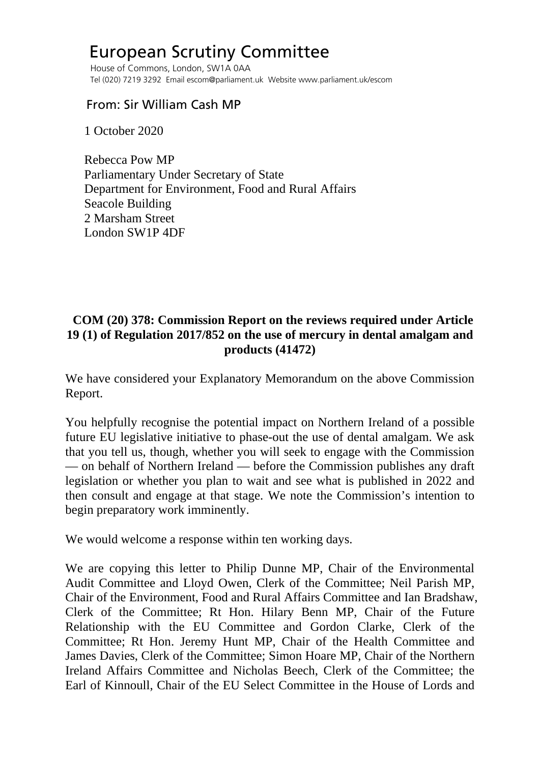## European Scrutiny Committee

 House of Commons, London, SW1A 0AA Tel (020) 7219 3292 Email escom@parliament.uk Website www.parliament.uk/escom

## From: Sir William Cash MP

1 October 2020

 Rebecca Pow MP Parliamentary Under Secretary of State Department for Environment, Food and Rural Affairs Seacole Building 2 Marsham Street London SW1P 4DF

## **COM (20) 378: Commission Report on the reviews required under Article 19 (1) of Regulation 2017/852 on the use of mercury in dental amalgam and products (41472)**

We have considered your Explanatory Memorandum on the above Commission Report.

You helpfully recognise the potential impact on Northern Ireland of a possible future EU legislative initiative to phase-out the use of dental amalgam. We ask that you tell us, though, whether you will seek to engage with the Commission — on behalf of Northern Ireland — before the Commission publishes any draft legislation or whether you plan to wait and see what is published in 2022 and then consult and engage at that stage. We note the Commission's intention to begin preparatory work imminently.

We would welcome a response within ten working days.

We are copying this letter to Philip Dunne MP, Chair of the Environmental Audit Committee and Lloyd Owen, Clerk of the Committee; Neil Parish MP, Chair of the Environment, Food and Rural Affairs Committee and Ian Bradshaw, Clerk of the Committee; Rt Hon. Hilary Benn MP, Chair of the Future Relationship with the EU Committee and Gordon Clarke, Clerk of the Committee; Rt Hon. Jeremy Hunt MP, Chair of the Health Committee and James Davies, Clerk of the Committee; Simon Hoare MP, Chair of the Northern Ireland Affairs Committee and Nicholas Beech, Clerk of the Committee; the Earl of Kinnoull, Chair of the EU Select Committee in the House of Lords and